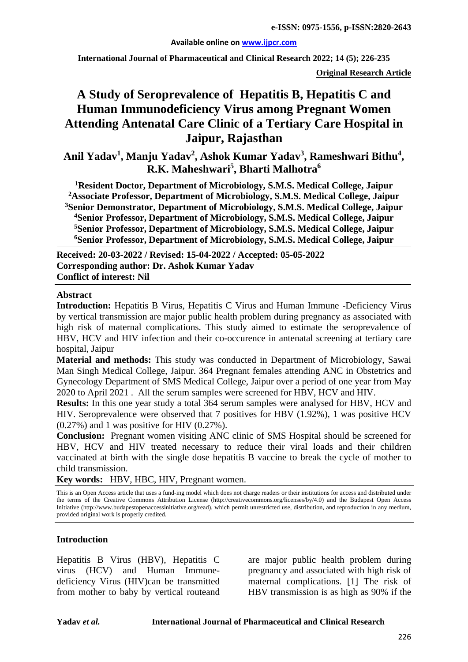#### **Available online on [www.ijpcr.com](http://www.ijpcr.com/)**

**International Journal of Pharmaceutical and Clinical Research 2022; 14 (5); 226-235**

**Original Research Article**

# **A Study of Seroprevalence of Hepatitis B, Hepatitis C and Human Immunodeficiency Virus among Pregnant Women Attending Antenatal Care Clinic of a Tertiary Care Hospital in Jaipur, Rajasthan**

**Anil Yadav<sup>1</sup> , Manju Yadav<sup>2</sup> , Ashok Kumar Yadav<sup>3</sup> , Rameshwari Bithu<sup>4</sup> , R.K. Maheshwari<sup>5</sup> , Bharti Malhotra6**

 **Resident Doctor, Department of Microbiology, S.M.S. Medical College, Jaipur 2Associate Professor, Department of Microbiology, S.M.S. Medical College, Jaipur Senior Demonstrator, Department of Microbiology, S.M.S. Medical College, Jaipur Senior Professor, Department of Microbiology, S.M.S. Medical College, Jaipur Senior Professor, Department of Microbiology, S.M.S. Medical College, Jaipur Senior Professor, Department of Microbiology, S.M.S. Medical College, Jaipur**

**Received: 20-03-2022 / Revised: 15-04-2022 / Accepted: 05-05-2022 Corresponding author: Dr. Ashok Kumar Yadav Conflict of interest: Nil**

#### **Abstract**

**Introduction:** Hepatitis B Virus, Hepatitis C Virus and Human Immune -Deficiency Virus by vertical transmission are major public health problem during pregnancy as associated with high risk of maternal complications. This study aimed to estimate the seroprevalence of HBV, HCV and HIV infection and their co-occurence in antenatal screening at tertiary care hospital, Jaipur

**Material and methods:** This study was conducted in Department of Microbiology, Sawai Man Singh Medical College, Jaipur. 364 Pregnant females attending ANC in Obstetrics and Gynecology Department of SMS Medical College, Jaipur over a period of one year from May 2020 to April 2021 . All the serum samples were screened for HBV, HCV and HIV.

**Results:** In this one year study a total 364 serum samples were analysed for HBV, HCV and HIV. Seroprevalence were observed that 7 positives for HBV (1.92%), 1 was positive HCV  $(0.27\%)$  and 1 was positive for HIV  $(0.27\%)$ .

**Conclusion:** Pregnant women visiting ANC clinic of SMS Hospital should be screened for HBV, HCV and HIV treated necessary to reduce their viral loads and their children vaccinated at birth with the single dose hepatitis B vaccine to break the cycle of mother to child transmission.

**Key words:** HBV, HBC, HIV, Pregnant women.

This is an Open Access article that uses a fund-ing model which does not charge readers or their institutions for access and distributed under the terms of the Creative Commons Attribution License (http://creativecommons.org/licenses/by/4.0) and the Budapest Open Access Initiative (http://www.budapestopenaccessinitiative.org/read), which permit unrestricted use, distribution, and reproduction in any medium, provided original work is properly credited.

#### **Introduction**

Hepatitis B Virus (HBV), Hepatitis C virus (HCV) and Human Immunedeficiency Virus (HIV)can be transmitted from mother to baby by vertical routeand are major public health problem during pregnancy and associated with high risk of maternal complications. [1] The risk of HBV transmission is as high as 90% if the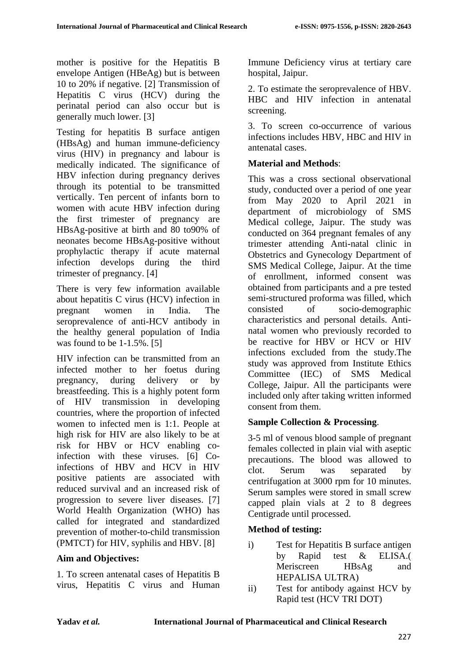mother is positive for the Hepatitis B envelope Antigen (HBeAg) but is between 10 to 20% if negative. [2] Transmission of Hepatitis C virus (HCV) during the perinatal period can also occur but is generally much lower. [3]

Testing for hepatitis B surface antigen  $(HBsAg)$  and human immune-deficiency virus (HIV) in pregnancy and labour is medically indicated. The significance of HBV infection during pregnancy derives through its potential to be transmitted vertically. Ten percent of infants born to women with acute HBV infection during the first trimester of pregnancy are HBsAg-positive at birth and 80 to90% of neonates become HBsAg-positive without prophylactic therapy if acute maternal infection develops during the third trimester of pregnancy. [4]

There is very few information available about hepatitis C virus (HCV) infection in pregnant women in India. The seroprevalence of anti-HCV antibody in the healthy general population of India was found to be 1-1.5%. [5]

HIV infection can be transmitted from an infected mother to her foetus during pregnancy, during delivery or by breastfeeding. This is a highly potent form of HIV transmission in developing countries, where the proportion of infected women to infected men is 1:1. People at high risk for HIV are also likely to be at risk for HBV or HCV enabling coinfection with these viruses. [6] Coinfections of HBV and HCV in HIV positive patients are associated with reduced survival and an increased risk of progression to severe liver diseases. [7] World Health Organization (WHO) has called for integrated and standardized prevention of mother-to-child transmission (PMTCT) for HIV, syphilis and HBV. [8]

# **Aim and Objectives:**

1. To screen antenatal cases of Hepatitis B virus, Hepatitis C virus and Human Immune Deficiency virus at tertiary care hospital, Jaipur.

2. To estimate the seroprevalence of HBV. HBC and HIV infection in antenatal screening.

3. To screen co-occurrence of various infections includes HBV, HBC and HIV in antenatal cases.

# **Material and Methods**:

This was a cross sectional observational study, conducted over a period of one year from May 2020 to April 2021 in department of microbiology of SMS Medical college, Jaipur. The study was conducted on 364 pregnant females of any trimester attending Anti-natal clinic in Obstetrics and Gynecology Department of SMS Medical College, Jaipur. At the time of enrollment, informed consent was obtained from participants and a pre tested semi-structured proforma was filled, which consisted of socio-demographic characteristics and personal details. Antinatal women who previously recorded to be reactive for HBV or HCV or HIV infections excluded from the study.The study was approved from Institute Ethics Committee (IEC) of SMS Medical College, Jaipur. All the participants were included only after taking written informed consent from them.

# **Sample Collection & Processing**.

3-5 ml of venous blood sample of pregnant females collected in plain vial with aseptic precautions. The blood was allowed to clot. Serum was separated by centrifugation at 3000 rpm for 10 minutes. Serum samples were stored in small screw capped plain vials at 2 to 8 degrees Centigrade until processed.

# **Method of testing:**

- i) Test for Hepatitis B surface antigen by Rapid test & ELISA.( Meriscreen HBsAg and HEPALISA ULTRA)
- ii) Test for antibody against HCV by Rapid test (HCV TRI DOT)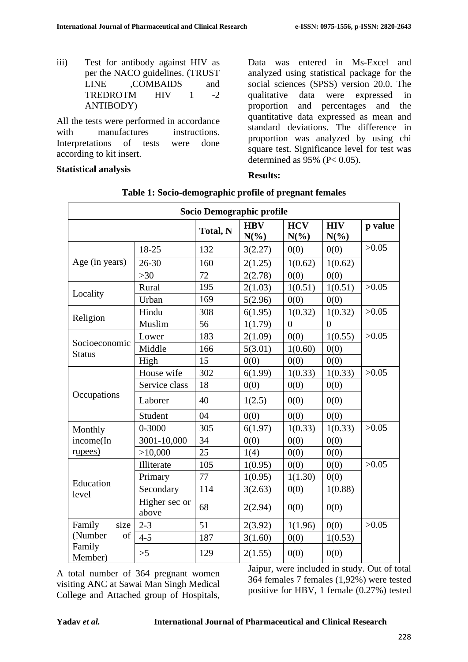iii) Test for antibody against HIV as per the NACO guidelines. (TRUST LINE ,COMBAIDS and<br>TREDROTM HIV 1 -2 TREDROTM HIV 1 -2 ANTIBODY)

All the tests were performed in accordance with manufactures instructions. Interpretations of tests were done according to kit insert.

### **Statistical analysis**

Data was entered in Ms-Excel and analyzed using statistical package for the social sciences (SPSS) version 20.0. The qualitative data were expressed in proportion and percentages and the quantitative data expressed as mean and standard deviations. The difference in proportion was analyzed by using chi square test. Significance level for test was determined as  $95\%$  (P< 0.05).

## **Results:**

| Socio Demographic profile      |                        |                 |                       |                       |                       |         |
|--------------------------------|------------------------|-----------------|-----------------------|-----------------------|-----------------------|---------|
|                                |                        | <b>Total, N</b> | <b>HBV</b><br>$N(\%)$ | <b>HCV</b><br>$N(\%)$ | <b>HIV</b><br>$N(\%)$ | p value |
|                                | 18-25                  | 132             | 3(2.27)               | 0(0)                  | 0(0)                  | >0.05   |
| Age (in years)                 | $26 - 30$              | 160             | 2(1.25)               | 1(0.62)               | 1(0.62)               |         |
|                                | $>30$                  | 72              | 2(2.78)               | 0(0)                  | 0(0)                  |         |
| Locality                       | Rural                  | 195             | 2(1.03)               | 1(0.51)               | 1(0.51)               | >0.05   |
|                                | Urban                  | 169             | 5(2.96)               | 0(0)                  | 0(0)                  |         |
| Religion                       | Hindu                  | 308             | 6(1.95)               | 1(0.32)               | 1(0.32)               | >0.05   |
|                                | Muslim                 | 56              | 1(1.79)               | $\theta$              | $\theta$              |         |
|                                | Lower                  | 183             | 2(1.09)               | 0(0)                  | 1(0.55)               | >0.05   |
| Socioeconomic<br><b>Status</b> | Middle                 | 166             | 5(3.01)               | 1(0.60)               | 0(0)                  |         |
|                                | High                   | 15              | 0(0)                  | 0(0)                  | 0(0)                  |         |
|                                | House wife             | 302             | 6(1.99)               | 1(0.33)               | 1(0.33)               | >0.05   |
| Occupations                    | Service class          | 18              | 0(0)                  | 0(0)                  | 0(0)                  |         |
|                                | Laborer                | 40              | 1(2.5)                | 0(0)                  | 0(0)                  |         |
|                                | Student                | 04              | 0(0)                  | 0(0)                  | 0(0)                  |         |
| Monthly                        | $0 - 3000$             | 305             | 6(1.97)               | 1(0.33)               | 1(0.33)               | >0.05   |
| income(In                      | 3001-10,000            | 34              | 0(0)                  | 0(0)                  | 0(0)                  |         |
| rupees)                        | >10,000                | 25              | 1(4)                  | 0(0)                  | 0(0)                  |         |
| Education<br>level             | Illiterate             | 105             | 1(0.95)               | 0(0)                  | 0(0)                  | >0.05   |
|                                | Primary                | 77              | 1(0.95)               | 1(1.30)               | 0(0)                  |         |
|                                | Secondary              | 114             | 3(2.63)               | 0(0)                  | 1(0.88)               |         |
|                                | Higher sec or<br>above | 68              | 2(2.94)               | 0(0)                  | 0(0)                  |         |
| Family<br>size                 | $2 - 3$                | 51              | 2(3.92)               | 1(1.96)               | 0(0)                  | >0.05   |
| (Number<br>of                  | $4 - 5$                | 187             | 3(1.60)               | 0(0)                  | 1(0.53)               |         |
| Family<br>Member)              | >5                     | 129             | 2(1.55)               | 0(0)                  | 0(0)                  |         |

**Table 1: Socio-demographic profile of pregnant females**

A total number of 364 pregnant women visiting ANC at Sawai Man Singh Medical College and Attached group of Hospitals, Jaipur, were included in study. Out of total 364 females 7 females (1,92%) were tested positive for HBV, 1 female (0.27%) tested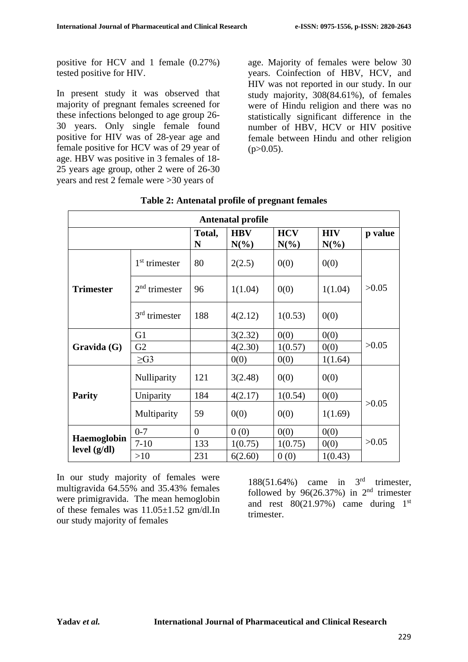positive for HCV and 1 female (0.27%) tested positive for HIV.

In present study it was observed that majority of pregnant females screened for these infections belonged to age group 26- 30 years. Only single female found positive for HIV was of 28-year age and female positive for HCV was of 29 year of age. HBV was positive in 3 females of 18- 25 years age group, other 2 were of 26-30 years and rest 2 female were >30 years of

age. Majority of females were below 30 years. Coinfection of HBV, HCV, and HIV was not reported in our study. In our study majority, 308(84.61%), of females were of Hindu religion and there was no statistically significant difference in the number of HBV, HCV or HIV positive female between Hindu and other religion  $(p>0.05)$ .

| <b>Antenatal profile</b>    |                 |                |                       |                                  |                       |         |  |
|-----------------------------|-----------------|----------------|-----------------------|----------------------------------|-----------------------|---------|--|
|                             |                 | Total,<br>N    | <b>HBV</b><br>$N(\%)$ | <b>HCV</b><br>$N\left(\%\right)$ | <b>HIV</b><br>$N(\%)$ | p value |  |
| <b>Trimester</b>            | $1st$ trimester | 80             | 2(2.5)                | 0(0)                             | 0(0)                  |         |  |
|                             | $2nd$ trimester | 96             | 1(1.04)               | 0(0)                             | 1(1.04)               | >0.05   |  |
|                             | $3rd$ trimester | 188            | 4(2.12)               | 1(0.53)                          | 0(0)                  |         |  |
| Gravida (G)                 | G <sub>1</sub>  |                | 3(2.32)               | 0(0)                             | 0(0)                  | >0.05   |  |
|                             | G <sub>2</sub>  |                | 4(2.30)               | 1(0.57)                          | 0(0)                  |         |  |
|                             | $\geq$ G3       |                | 0(0)                  | 0(0)                             | 1(1.64)               |         |  |
| <b>Parity</b>               | Nulliparity     | 121            | 3(2.48)               | 0(0)                             | 0(0)                  |         |  |
|                             | Uniparity       | 184            | 4(2.17)               | 1(0.54)                          | 0(0)                  |         |  |
|                             | Multiparity     | 59             | 0(0)                  | 0(0)                             | 1(1.69)               | >0.05   |  |
| Haemoglobin<br>level (g/dl) | $0 - 7$         | $\overline{0}$ | 0(0)                  | 0(0)                             | 0(0)                  | >0.05   |  |
|                             | $7 - 10$        | 133            | 1(0.75)               | 1(0.75)                          | 0(0)                  |         |  |
|                             | >10             | 231            | 6(2.60)               | 0(0)                             | 1(0.43)               |         |  |

|  | Table 2: Antenatal profile of pregnant females |  |
|--|------------------------------------------------|--|
|  |                                                |  |

In our study majority of females were multigravida 64.55% and 35.43% females were primigravida. The mean hemoglobin of these females was 11.05±1.52 gm/dl.In our study majority of females

188(51.64%) came in 3rd trimester, followed by  $96(26.37%)$  in  $2<sup>nd</sup>$  trimester and rest  $80(21.97%)$  came during  $1<sup>st</sup>$ trimester.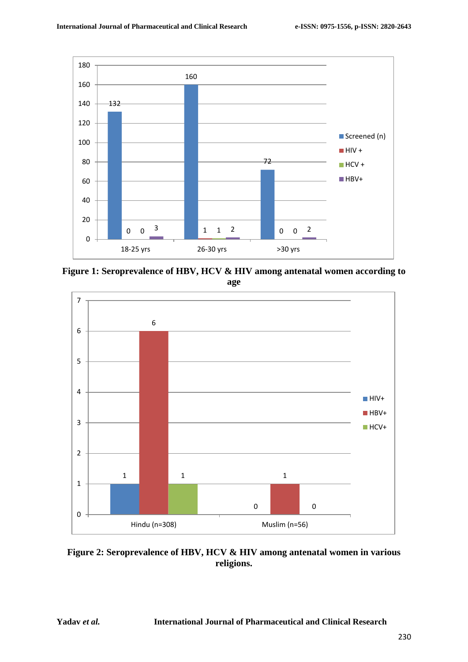

**Figure 1: Seroprevalence of HBV, HCV & HIV among antenatal women according to** 



**Figure 2: Seroprevalence of HBV, HCV & HIV among antenatal women in various religions.**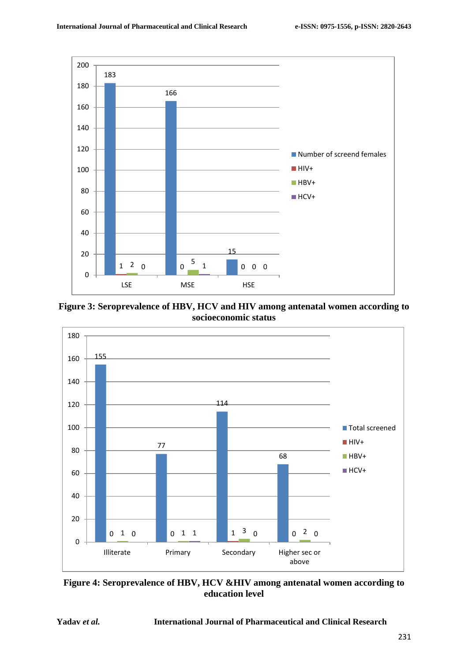

**Figure 3: Seroprevalence of HBV, HCV and HIV among antenatal women according to socioeconomic status**



**Figure 4: Seroprevalence of HBV, HCV &HIV among antenatal women according to education level**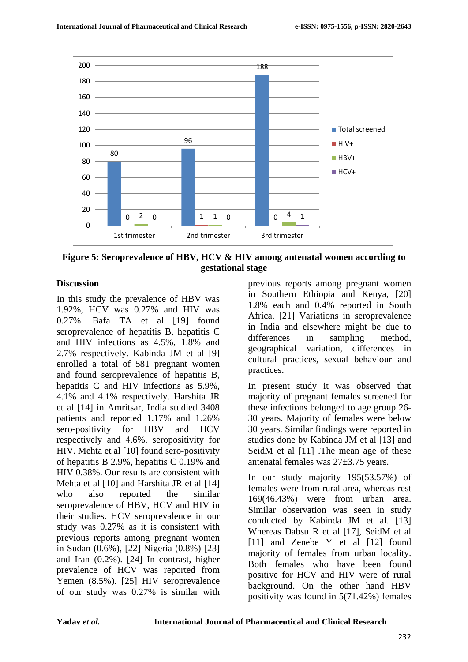

**Figure 5: Seroprevalence of HBV, HCV & HIV among antenatal women according to gestational stage**

### **Discussion**

In this study the prevalence of HBV was 1.92%, HCV was 0.27% and HIV was 0.27%. Bafa TA et al [19] found seroprevalence of hepatitis B, hepatitis C and HIV infections as 4.5%, 1.8% and 2.7% respectively. Kabinda JM et al [9] enrolled a total of 581 pregnant women and found seroprevalence of hepatitis B, hepatitis C and HIV infections as 5.9%, 4.1% and 4.1% respectively. Harshita JR et al [14] in Amritsar, India studied 3408 patients and reported 1.17% and 1.26% sero-positivity for HBV and HCV respectively and 4.6%. seropositivity for HIV. Mehta et al [10] found sero-positivity of hepatitis B 2.9%, hepatitis C 0.19% and HIV 0.38%. Our results are consistent with Mehta et al [10] and Harshita JR et al [14] who also reported the similar seroprevalence of HBV, HCV and HIV in their studies. HCV seroprevalence in our study was 0.27% as it is consistent with previous reports among pregnant women in Sudan (0.6%), [22] Nigeria (0.8%) [23] and Iran (0.2%). [24] In contrast, higher prevalence of HCV was reported from Yemen (8.5%). [25] HIV seroprevalence of our study was 0.27% is similar with

previous reports among pregnant women in Southern Ethiopia and Kenya, [20] 1.8% each and 0.4% reported in South Africa. [21] Variations in seroprevalence in India and elsewhere might be due to differences in sampling method, geographical variation, differences in cultural practices, sexual behaviour and practices.

In present study it was observed that majority of pregnant females screened for these infections belonged to age group 26- 30 years. Majority of females were below 30 years. Similar findings were reported in studies done by Kabinda JM et al [13] and SeidM et al [11] .The mean age of these antenatal females was 27±3.75 years.

In our study majority 195(53.57%) of females were from rural area, whereas rest 169(46.43%) were from urban area. Similar observation was seen in study conducted by Kabinda JM et al. [13] Whereas Dabsu R et al [17], SeidM et al [11] and Zenebe Y et al [12] found majority of females from urban locality. Both females who have been found positive for HCV and HIV were of rural background. On the other hand HBV positivity was found in 5(71.42%) females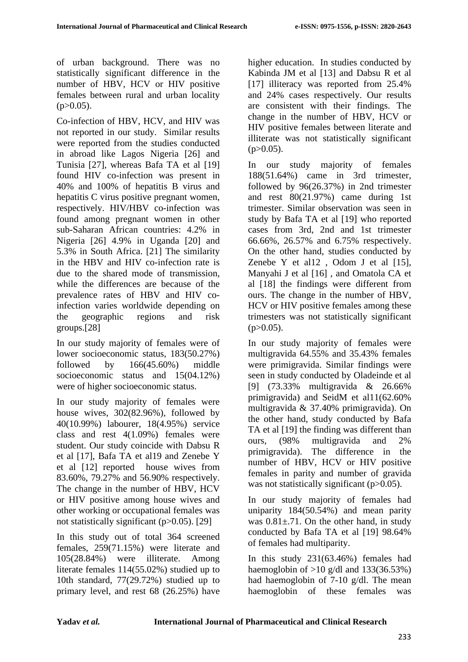of urban background. There was no statistically significant difference in the number of HBV, HCV or HIV positive females between rural and urban locality  $(p>0.05)$ .

Co-infection of HBV, HCV, and HIV was not reported in our study. Similar results were reported from the studies conducted in abroad like Lagos Nigeria [26] and Tunisia [27], whereas Bafa TA et al [19] found HIV co-infection was present in 40% and 100% of hepatitis B virus and hepatitis C virus positive pregnant women, respectively. HIV/HBV co-infection was found among pregnant women in other sub-Saharan African countries: 4.2% in Nigeria [26] 4.9% in Uganda [20] and 5.3% in South Africa. [21] The similarity in the HBV and HIV co-infection rate is due to the shared mode of transmission, while the differences are because of the prevalence rates of HBV and HIV coinfection varies worldwide depending on the geographic regions and risk groups.[28]

In our study majority of females were of lower socioeconomic status, 183(50.27%) followed by 166(45.60%) middle socioeconomic status and 15(04.12%) were of higher socioeconomic status.

In our study majority of females were house wives, 302(82.96%), followed by 40(10.99%) labourer, 18(4.95%) service class and rest 4(1.09%) females were student. Our study coincide with Dabsu R et al [17], Bafa TA et al19 and Zenebe Y et al [12] reported house wives from 83.60%, 79.27% and 56.90% respectively. The change in the number of HBV, HCV or HIV positive among house wives and other working or occupational females was not statistically significant (p>0.05). [29]

In this study out of total 364 screened females, 259(71.15%) were literate and 105(28.84%) were illiterate. Among literate females 114(55.02%) studied up to 10th standard, 77(29.72%) studied up to primary level, and rest 68 (26.25%) have

higher education. In studies conducted by Kabinda JM et al [13] and Dabsu R et al [17] illiteracy was reported from 25.4% and 24% cases respectively. Our results are consistent with their findings. The change in the number of HBV, HCV or HIV positive females between literate and illiterate was not statistically significant  $(p>0.05)$ .

In our study majority of females 188(51.64%) came in 3rd trimester, followed by 96(26.37%) in 2nd trimester and rest 80(21.97%) came during 1st trimester. Similar observation was seen in study by Bafa TA et al [19] who reported cases from 3rd, 2nd and 1st trimester 66.66%, 26.57% and 6.75% respectively. On the other hand, studies conducted by Zenebe Y et al12, Odom J et al [15], Manyahi J et al [16] , and Omatola CA et al [18] the findings were different from ours. The change in the number of HBV, HCV or HIV positive females among these trimesters was not statistically significant  $(p>0.05)$ .

In our study majority of females were multigravida 64.55% and 35.43% females were primigravida. Similar findings were seen in study conducted by Oladeinde et al [9] (73.33% multigravida & 26.66% primigravida) and SeidM et al11(62.60% multigravida & 37.40% primigravida). On the other hand, study conducted by Bafa TA et al [19] the finding was different than ours, (98% multigravida and 2% primigravida). The difference in the number of HBV, HCV or HIV positive females in parity and number of gravida was not statistically significant (p>0.05).

In our study majority of females had uniparity 184(50.54%) and mean parity was  $0.81 \pm .71$ . On the other hand, in study conducted by Bafa TA et al [19] 98.64% of females had multiparity.

In this study 231(63.46%) females had haemoglobin of  $>10$  g/dl and  $133(36.53%)$ had haemoglobin of 7-10 g/dl. The mean haemoglobin of these females was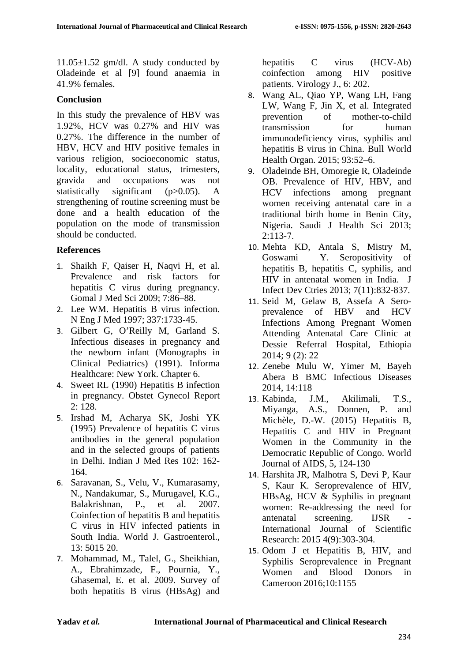$11.05\pm1.52$  gm/dl. A study conducted by Oladeinde et al [9] found anaemia in 41.9% females.

### **Conclusion**

In this study the prevalence of HBV was 1.92%, HCV was 0.27% and HIV was 0.27%. The difference in the number of HBV, HCV and HIV positive females in various religion, socioeconomic status, locality, educational status, trimesters, gravida and occupations was not statistically significant (p>0.05). A strengthening of routine screening must be done and a health education of the population on the mode of transmission should be conducted.

## **References**

- 1. Shaikh F, Qaiser H, Naqvi H, et al. Prevalence and risk factors for hepatitis C virus during pregnancy. Gomal J Med Sci 2009; 7:86–88.
- 2. Lee WM. Hepatitis B virus infection. N Eng J Med 1997; 337:1733-45.
- 3. Gilbert G, O'Reilly M, Garland S. Infectious diseases in pregnancy and the newborn infant (Monographs in Clinical Pediatrics) (1991). Informa Healthcare: New York. Chapter 6.
- 4. Sweet RL (1990) Hepatitis B infection in pregnancy. Obstet Gynecol Report  $2: 128$
- 5. Irshad M, Acharya SK, Joshi YK (1995) Prevalence of hepatitis C virus antibodies in the general population and in the selected groups of patients in Delhi. Indian J Med Res 102: 162- 164.
- 6. Saravanan, S., Velu, V., Kumarasamy, N., Nandakumar, S., Murugavel, K.G., Balakrishnan, P., et al. 2007. Coinfection of hepatitis B and hepatitis C virus in HIV infected patients in South India. World J. Gastroenterol.,  $13: 5015.20$
- 7. Mohammad, M., Talel, G., Sheikhian, A., Ebrahimzade, F., Pournia, Y., Ghasemal, E. et al. 2009. Survey of both hepatitis B virus (HBsAg) and

hepatitis C virus (HCV-Ab) coinfection among HIV positive patients. Virology J., 6: 202.

- 8. Wang AL, Qiao YP, Wang LH, Fang LW, Wang F, Jin X, et al. Integrated prevention of mother-to-child transmission for human immunodeficiency virus, syphilis and hepatitis B virus in China. Bull World Health Organ. 2015; 93:52–6.
- 9. Oladeinde BH, Omoregie R, Oladeinde OB. Prevalence of HIV, HBV, and HCV infections among pregnant women receiving antenatal care in a traditional birth home in Benin City, Nigeria. Saudi J Health Sci 2013;  $2:113-7.$
- 10. Mehta KD, Antala S, Mistry M, Goswami Y. Seropositivity of hepatitis B, hepatitis C, syphilis, and HIV in antenatal women in India. J Infect Dev Ctries 2013; 7(11):832-837.
- 11. Seid M, Gelaw B, Assefa A Seroprevalence of HBV and HCV Infections Among Pregnant Women Attending Antenatal Care Clinic at Dessie Referral Hospital, Ethiopia 2014; 9 (2): 22
- 12. Zenebe Mulu W, Yimer M, Bayeh Abera B BMC Infectious Diseases 2014, 14:118
- 13. Kabinda, J.M., Akilimali, T.S., Miyanga, A.S., Donnen, P. and Michèle, D.-W. (2015) Hepatitis B, Hepatitis C and HIV in Pregnant Women in the Community in the Democratic Republic of Congo. World Journal of AIDS, 5, 124-130
- 14. Harshita JR, Malhotra S, Devi P, Kaur S, Kaur K. Seroprevalence of HIV, HBsAg, HCV & Syphilis in pregnant women: Re-addressing the need for antenatal screening. IJSR International Journal of Scientific Research: 2015 4(9):303-304.
- 15. Odom J et Hepatitis B, HIV, and Syphilis Seroprevalence in Pregnant Women and Blood Donors in Cameroon 2016;10:1155